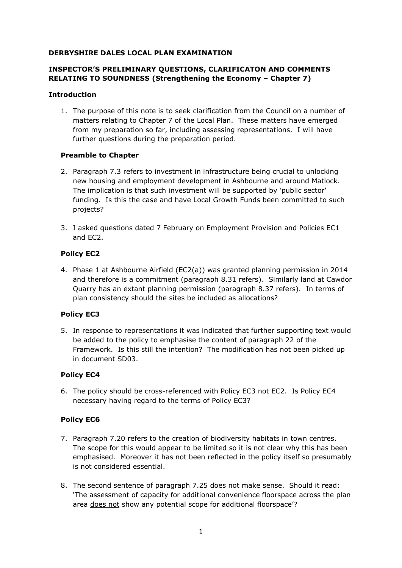#### **DERBYSHIRE DALES LOCAL PLAN EXAMINATION**

# **INSPECTOR'S PRELIMINARY QUESTIONS, CLARIFICATON AND COMMENTS RELATING TO SOUNDNESS (Strengthening the Economy – Chapter 7)**

#### **Introduction**

1. The purpose of this note is to seek clarification from the Council on a number of matters relating to Chapter 7 of the Local Plan. These matters have emerged from my preparation so far, including assessing representations. I will have further questions during the preparation period.

### **Preamble to Chapter**

- 2. Paragraph 7.3 refers to investment in infrastructure being crucial to unlocking new housing and employment development in Ashbourne and around Matlock. The implication is that such investment will be supported by 'public sector' funding. Is this the case and have Local Growth Funds been committed to such projects?
- 3. I asked questions dated 7 February on Employment Provision and Policies EC1 and EC2.

### **Policy EC2**

4. Phase 1 at Ashbourne Airfield (EC2(a)) was granted planning permission in 2014 and therefore is a commitment (paragraph 8.31 refers). Similarly land at Cawdor Quarry has an extant planning permission (paragraph 8.37 refers). In terms of plan consistency should the sites be included as allocations?

### **Policy EC3**

5. In response to representations it was indicated that further supporting text would be added to the policy to emphasise the content of paragraph 22 of the Framework. Is this still the intention? The modification has not been picked up in document SD03.

### **Policy EC4**

6. The policy should be cross-referenced with Policy EC3 not EC2. Is Policy EC4 necessary having regard to the terms of Policy EC3?

### **Policy EC6**

- 7. Paragraph 7.20 refers to the creation of biodiversity habitats in town centres. The scope for this would appear to be limited so it is not clear why this has been emphasised. Moreover it has not been reflected in the policy itself so presumably is not considered essential.
- 8. The second sentence of paragraph 7.25 does not make sense. Should it read: 'The assessment of capacity for additional convenience floorspace across the plan area does not show any potential scope for additional floorspace'?